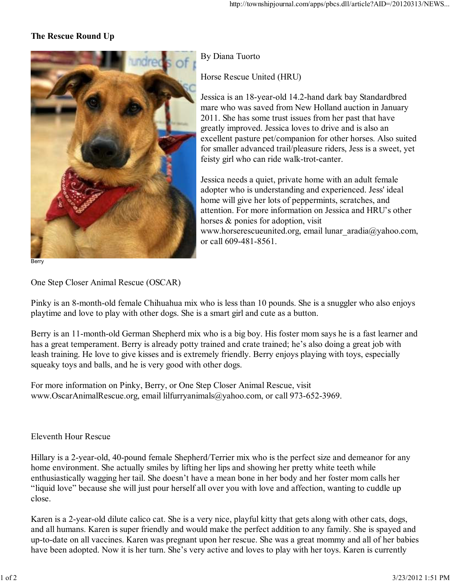## **The Rescue Round Up**



By Diana Tuorto

Horse Rescue United (HRU)

Jessica is an 18-year-old 14.2-hand dark bay Standardbred mare who was saved from New Holland auction in January 2011. She has some trust issues from her past that have greatly improved. Jessica loves to drive and is also an excellent pasture pet/companion for other horses. Also suited for smaller advanced trail/pleasure riders, Jess is a sweet, yet feisty girl who can ride walk-trot-canter.

Jessica needs a quiet, private home with an adult female adopter who is understanding and experienced. Jess' ideal home will give her lots of peppermints, scratches, and attention. For more information on Jessica and HRU's other horses & ponies for adoption, visit www.horserescueunited.org, email lunar\_aradia@yahoo.com, or call 609-481-8561.

One Step Closer Animal Rescue (OSCAR)

Pinky is an 8-month-old female Chihuahua mix who is less than 10 pounds. She is a snuggler who also enjoys playtime and love to play with other dogs. She is a smart girl and cute as a button.

Berry is an 11-month-old German Shepherd mix who is a big boy. His foster mom says he is a fast learner and has a great temperament. Berry is already potty trained and crate trained; he's also doing a great job with leash training. He love to give kisses and is extremely friendly. Berry enjoys playing with toys, especially squeaky toys and balls, and he is very good with other dogs.

For more information on Pinky, Berry, or One Step Closer Animal Rescue, visit www.OscarAnimalRescue.org, email lilfurryanimals@yahoo.com, or call 973-652-3969.

## Eleventh Hour Rescue

Hillary is a 2-year-old, 40-pound female Shepherd/Terrier mix who is the perfect size and demeanor for any home environment. She actually smiles by lifting her lips and showing her pretty white teeth while enthusiastically wagging her tail. She doesn't have a mean bone in her body and her foster mom calls her "liquid love" because she will just pour herself all over you with love and affection, wanting to cuddle up close.

Karen is a 2-year-old dilute calico cat. She is a very nice, playful kitty that gets along with other cats, dogs, and all humans. Karen is super friendly and would make the perfect addition to any family. She is spayed and up-to-date on all vaccines. Karen was pregnant upon her rescue. She was a great mommy and all of her babies have been adopted. Now it is her turn. She's very active and loves to play with her toys. Karen is currently